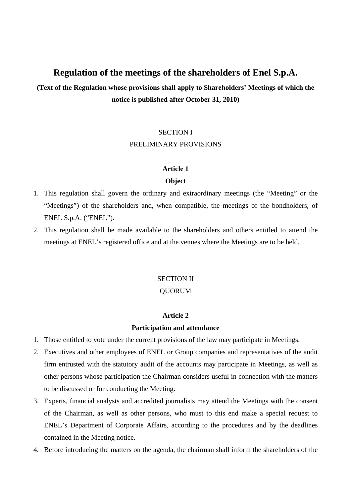# **Regulation of the meetings of the shareholders of Enel S.p.A.**

**(Text of the Regulation whose provisions shall apply to Shareholders' Meetings of which the notice is published after October 31, 2010)** 

# SECTION I

# PRELIMINARY PROVISIONS

# **Article 1**

# **Object**

- 1. This regulation shall govern the ordinary and extraordinary meetings (the "Meeting" or the "Meetings") of the shareholders and, when compatible, the meetings of the bondholders, of ENEL S.p.A. ("ENEL").
- 2. This regulation shall be made available to the shareholders and others entitled to attend the meetings at ENEL's registered office and at the venues where the Meetings are to be held.

# SECTION II

# QUORUM

# **Article 2**

# **Participation and attendance**

- 1. Those entitled to vote under the current provisions of the law may participate in Meetings.
- 2. Executives and other employees of ENEL or Group companies and representatives of the audit firm entrusted with the statutory audit of the accounts may participate in Meetings, as well as other persons whose participation the Chairman considers useful in connection with the matters to be discussed or for conducting the Meeting.
- 3. Experts, financial analysts and accredited journalists may attend the Meetings with the consent of the Chairman, as well as other persons, who must to this end make a special request to ENEL's Department of Corporate Affairs, according to the procedures and by the deadlines contained in the Meeting notice.
- 4. Before introducing the matters on the agenda, the chairman shall inform the shareholders of the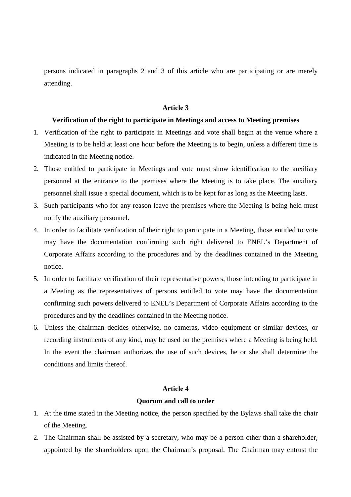persons indicated in paragraphs 2 and 3 of this article who are participating or are merely attending.

#### **Article 3**

# **Verification of the right to participate in Meetings and access to Meeting premises**

- 1. Verification of the right to participate in Meetings and vote shall begin at the venue where a Meeting is to be held at least one hour before the Meeting is to begin, unless a different time is indicated in the Meeting notice.
- 2. Those entitled to participate in Meetings and vote must show identification to the auxiliary personnel at the entrance to the premises where the Meeting is to take place. The auxiliary personnel shall issue a special document, which is to be kept for as long as the Meeting lasts.
- 3. Such participants who for any reason leave the premises where the Meeting is being held must notify the auxiliary personnel.
- 4. In order to facilitate verification of their right to participate in a Meeting, those entitled to vote may have the documentation confirming such right delivered to ENEL's Department of Corporate Affairs according to the procedures and by the deadlines contained in the Meeting notice.
- 5. In order to facilitate verification of their representative powers, those intending to participate in a Meeting as the representatives of persons entitled to vote may have the documentation confirming such powers delivered to ENEL's Department of Corporate Affairs according to the procedures and by the deadlines contained in the Meeting notice.
- 6. Unless the chairman decides otherwise, no cameras, video equipment or similar devices, or recording instruments of any kind, may be used on the premises where a Meeting is being held. In the event the chairman authorizes the use of such devices, he or she shall determine the conditions and limits thereof.

#### **Article 4**

#### **Quorum and call to order**

- 1. At the time stated in the Meeting notice, the person specified by the Bylaws shall take the chair of the Meeting.
- 2. The Chairman shall be assisted by a secretary, who may be a person other than a shareholder, appointed by the shareholders upon the Chairman's proposal. The Chairman may entrust the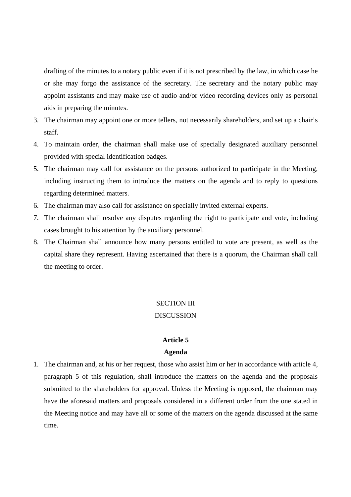drafting of the minutes to a notary public even if it is not prescribed by the law, in which case he or she may forgo the assistance of the secretary. The secretary and the notary public may appoint assistants and may make use of audio and/or video recording devices only as personal aids in preparing the minutes.

- 3. The chairman may appoint one or more tellers, not necessarily shareholders, and set up a chair's staff.
- 4. To maintain order, the chairman shall make use of specially designated auxiliary personnel provided with special identification badges.
- 5. The chairman may call for assistance on the persons authorized to participate in the Meeting, including instructing them to introduce the matters on the agenda and to reply to questions regarding determined matters.
- 6. The chairman may also call for assistance on specially invited external experts.
- 7. The chairman shall resolve any disputes regarding the right to participate and vote, including cases brought to his attention by the auxiliary personnel.
- 8. The Chairman shall announce how many persons entitled to vote are present, as well as the capital share they represent. Having ascertained that there is a quorum, the Chairman shall call the meeting to order.

#### SECTION III

# **DISCUSSION**

#### **Article 5**

#### **Agenda**

1. The chairman and, at his or her request, those who assist him or her in accordance with article 4, paragraph 5 of this regulation, shall introduce the matters on the agenda and the proposals submitted to the shareholders for approval. Unless the Meeting is opposed, the chairman may have the aforesaid matters and proposals considered in a different order from the one stated in the Meeting notice and may have all or some of the matters on the agenda discussed at the same time.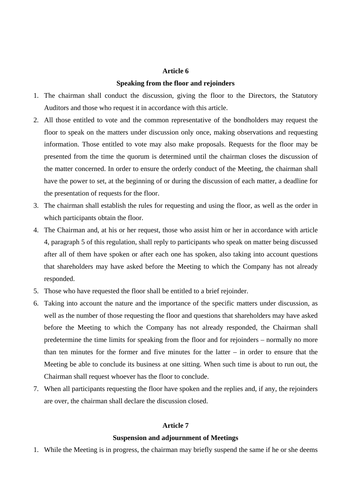#### **Article 6**

#### **Speaking from the floor and rejoinders**

- 1. The chairman shall conduct the discussion, giving the floor to the Directors, the Statutory Auditors and those who request it in accordance with this article.
- 2. All those entitled to vote and the common representative of the bondholders may request the floor to speak on the matters under discussion only once, making observations and requesting information. Those entitled to vote may also make proposals. Requests for the floor may be presented from the time the quorum is determined until the chairman closes the discussion of the matter concerned. In order to ensure the orderly conduct of the Meeting, the chairman shall have the power to set, at the beginning of or during the discussion of each matter, a deadline for the presentation of requests for the floor.
- 3. The chairman shall establish the rules for requesting and using the floor, as well as the order in which participants obtain the floor.
- 4. The Chairman and, at his or her request, those who assist him or her in accordance with article 4, paragraph 5 of this regulation, shall reply to participants who speak on matter being discussed after all of them have spoken or after each one has spoken, also taking into account questions that shareholders may have asked before the Meeting to which the Company has not already responded.
- 5. Those who have requested the floor shall be entitled to a brief rejoinder.
- 6. Taking into account the nature and the importance of the specific matters under discussion, as well as the number of those requesting the floor and questions that shareholders may have asked before the Meeting to which the Company has not already responded, the Chairman shall predetermine the time limits for speaking from the floor and for rejoinders – normally no more than ten minutes for the former and five minutes for the latter – in order to ensure that the Meeting be able to conclude its business at one sitting. When such time is about to run out, the Chairman shall request whoever has the floor to conclude.
- 7. When all participants requesting the floor have spoken and the replies and, if any, the rejoinders are over, the chairman shall declare the discussion closed.

# **Article 7**

#### **Suspension and adjournment of Meetings**

1. While the Meeting is in progress, the chairman may briefly suspend the same if he or she deems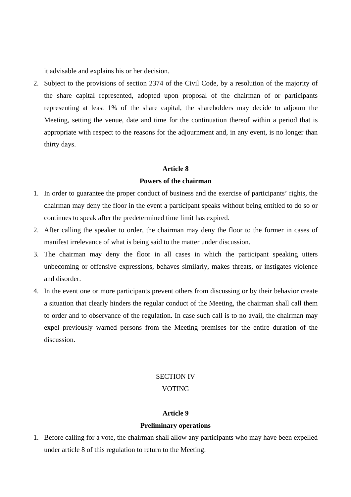it advisable and explains his or her decision.

2. Subject to the provisions of section 2374 of the Civil Code, by a resolution of the majority of the share capital represented, adopted upon proposal of the chairman of or participants representing at least 1% of the share capital, the shareholders may decide to adjourn the Meeting, setting the venue, date and time for the continuation thereof within a period that is appropriate with respect to the reasons for the adjournment and, in any event, is no longer than thirty days.

# **Article 8**

#### **Powers of the chairman**

- 1. In order to guarantee the proper conduct of business and the exercise of participants' rights, the chairman may deny the floor in the event a participant speaks without being entitled to do so or continues to speak after the predetermined time limit has expired.
- 2. After calling the speaker to order, the chairman may deny the floor to the former in cases of manifest irrelevance of what is being said to the matter under discussion.
- 3. The chairman may deny the floor in all cases in which the participant speaking utters unbecoming or offensive expressions, behaves similarly, makes threats, or instigates violence and disorder.
- 4. In the event one or more participants prevent others from discussing or by their behavior create a situation that clearly hinders the regular conduct of the Meeting, the chairman shall call them to order and to observance of the regulation. In case such call is to no avail, the chairman may expel previously warned persons from the Meeting premises for the entire duration of the discussion.

# SECTION IV

# VOTING

#### **Article 9**

# **Preliminary operations**

1. Before calling for a vote, the chairman shall allow any participants who may have been expelled under article 8 of this regulation to return to the Meeting.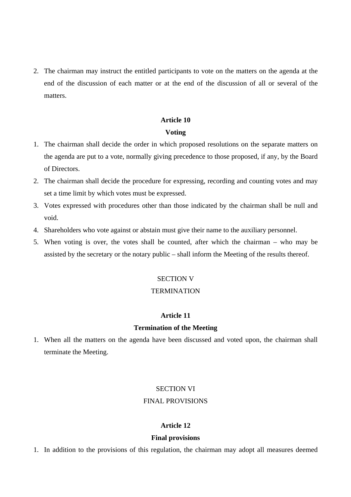2. The chairman may instruct the entitled participants to vote on the matters on the agenda at the end of the discussion of each matter or at the end of the discussion of all or several of the matters.

# **Article 10**

# **Voting**

- 1. The chairman shall decide the order in which proposed resolutions on the separate matters on the agenda are put to a vote, normally giving precedence to those proposed, if any, by the Board of Directors.
- 2. The chairman shall decide the procedure for expressing, recording and counting votes and may set a time limit by which votes must be expressed.
- 3. Votes expressed with procedures other than those indicated by the chairman shall be null and void.
- 4. Shareholders who vote against or abstain must give their name to the auxiliary personnel.
- 5. When voting is over, the votes shall be counted, after which the chairman who may be assisted by the secretary or the notary public – shall inform the Meeting of the results thereof.

# SECTION V

# **TERMINATION**

# **Article 11**

# **Termination of the Meeting**

1. When all the matters on the agenda have been discussed and voted upon, the chairman shall terminate the Meeting.

# SECTION VI

# FINAL PROVISIONS

# **Article 12**

# **Final provisions**

1. In addition to the provisions of this regulation, the chairman may adopt all measures deemed